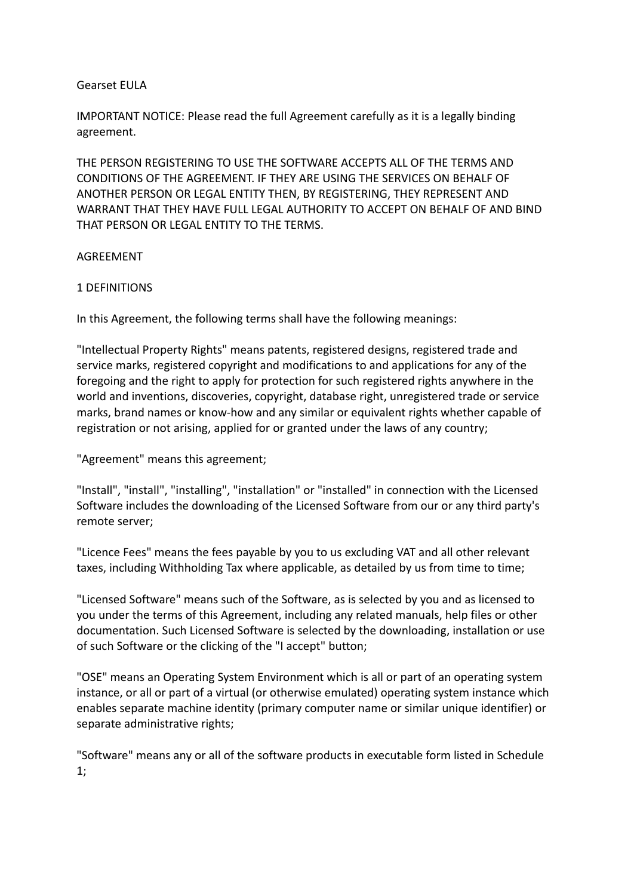## Gearset EULA

IMPORTANT NOTICE: Please read the full Agreement carefully as it is a legally binding agreement.

THE PERSON REGISTERING TO USE THE SOFTWARE ACCEPTS ALL OF THE TERMS AND CONDITIONS OF THE AGREEMENT. IF THEY ARE USING THE SERVICES ON BEHALF OF ANOTHER PERSON OR LEGAL ENTITY THEN, BY REGISTERING, THEY REPRESENT AND WARRANT THAT THEY HAVE FULL LEGAL AUTHORITY TO ACCEPT ON BEHALF OF AND BIND THAT PERSON OR LEGAL ENTITY TO THE TERMS.

### **AGREEMENT**

### 1 DEFINITIONS

In this Agreement, the following terms shall have the following meanings:

"Intellectual Property Rights" means patents, registered designs, registered trade and service marks, registered copyright and modifications to and applications for any of the foregoing and the right to apply for protection for such registered rights anywhere in the world and inventions, discoveries, copyright, database right, unregistered trade or service marks, brand names or know-how and any similar or equivalent rights whether capable of registration or not arising, applied for or granted under the laws of any country;

"Agreement" means this agreement;

"Install", "install", "installing", "installation" or "installed" in connection with the Licensed Software includes the downloading of the Licensed Software from our or any third party's remote server;

"Licence Fees" means the fees payable by you to us excluding VAT and all other relevant taxes, including Withholding Tax where applicable, as detailed by us from time to time;

"Licensed Software" means such of the Software, as is selected by you and as licensed to you under the terms of this Agreement, including any related manuals, help files or other documentation. Such Licensed Software is selected by the downloading, installation or use of such Software or the clicking of the "I accept" button;

"OSE" means an Operating System Environment which is all or part of an operating system instance, or all or part of a virtual (or otherwise emulated) operating system instance which enables separate machine identity (primary computer name or similar unique identifier) or separate administrative rights;

"Software" means any or all of the software products in executable form listed in Schedule 1;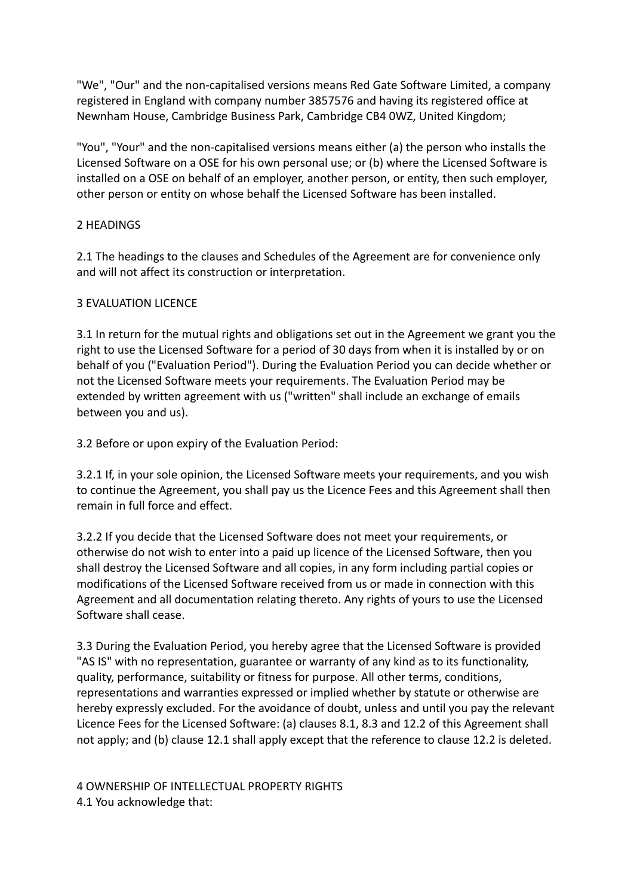"We", "Our" and the non-capitalised versions means Red Gate Software Limited, a company registered in England with company number 3857576 and having its registered office at Newnham House, Cambridge Business Park, Cambridge CB4 0WZ, United Kingdom;

"You", "Your" and the non-capitalised versions means either (a) the person who installs the Licensed Software on a OSE for his own personal use; or (b) where the Licensed Software is installed on a OSE on behalf of an employer, another person, or entity, then such employer, other person or entity on whose behalf the Licensed Software has been installed.

## 2 HEADINGS

2.1 The headings to the clauses and Schedules of the Agreement are for convenience only and will not affect its construction or interpretation.

# 3 EVALUATION LICENCE

3.1 In return for the mutual rights and obligations set out in the Agreement we grant you the right to use the Licensed Software for a period of 30 days from when it is installed by or on behalf of you ("Evaluation Period"). During the Evaluation Period you can decide whether or not the Licensed Software meets your requirements. The Evaluation Period may be extended by written agreement with us ("written" shall include an exchange of emails between you and us).

3.2 Before or upon expiry of the Evaluation Period:

3.2.1 If, in your sole opinion, the Licensed Software meets your requirements, and you wish to continue the Agreement, you shall pay us the Licence Fees and this Agreement shall then remain in full force and effect.

3.2.2 If you decide that the Licensed Software does not meet your requirements, or otherwise do not wish to enter into a paid up licence of the Licensed Software, then you shall destroy the Licensed Software and all copies, in any form including partial copies or modifications of the Licensed Software received from us or made in connection with this Agreement and all documentation relating thereto. Any rights of yours to use the Licensed Software shall cease.

3.3 During the Evaluation Period, you hereby agree that the Licensed Software is provided "AS IS" with no representation, guarantee or warranty of any kind as to its functionality, quality, performance, suitability or fitness for purpose. All other terms, conditions, representations and warranties expressed or implied whether by statute or otherwise are hereby expressly excluded. For the avoidance of doubt, unless and until you pay the relevant Licence Fees for the Licensed Software: (a) clauses 8.1, 8.3 and 12.2 of this Agreement shall not apply; and (b) clause 12.1 shall apply except that the reference to clause 12.2 is deleted.

4 OWNERSHIP OF INTELLECTUAL PROPERTY RIGHTS 4.1 You acknowledge that: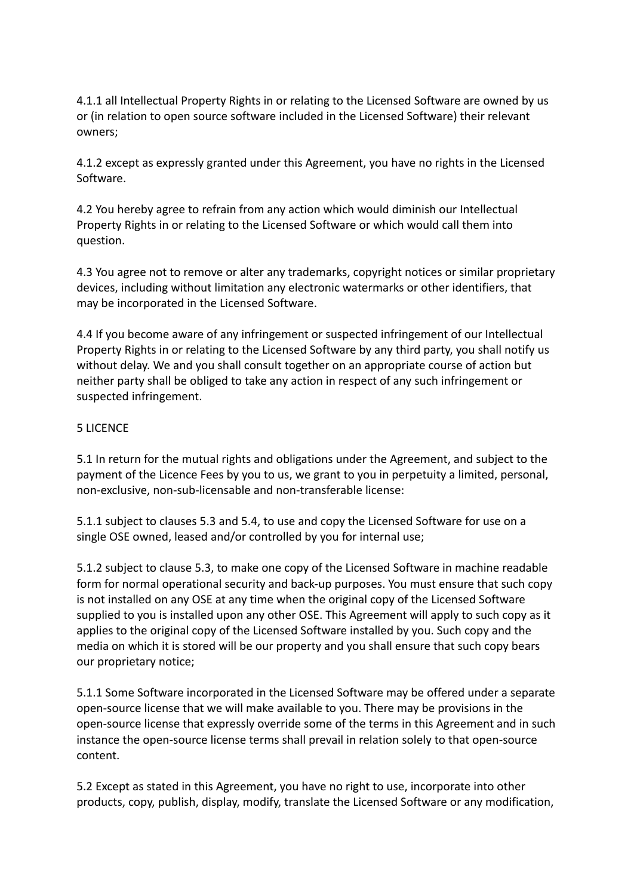4.1.1 all Intellectual Property Rights in or relating to the Licensed Software are owned by us or (in relation to open source software included in the Licensed Software) their relevant owners;

4.1.2 except as expressly granted under this Agreement, you have no rights in the Licensed Software.

4.2 You hereby agree to refrain from any action which would diminish our Intellectual Property Rights in or relating to the Licensed Software or which would call them into question.

4.3 You agree not to remove or alter any trademarks, copyright notices or similar proprietary devices, including without limitation any electronic watermarks or other identifiers, that may be incorporated in the Licensed Software.

4.4 If you become aware of any infringement or suspected infringement of our Intellectual Property Rights in or relating to the Licensed Software by any third party, you shall notify us without delay. We and you shall consult together on an appropriate course of action but neither party shall be obliged to take any action in respect of any such infringement or suspected infringement.

## 5 LICENCE

5.1 In return for the mutual rights and obligations under the Agreement, and subject to the payment of the Licence Fees by you to us, we grant to you in perpetuity a limited, personal, non-exclusive, non-sub-licensable and non-transferable license:

5.1.1 subject to clauses 5.3 and 5.4, to use and copy the Licensed Software for use on a single OSE owned, leased and/or controlled by you for internal use;

5.1.2 subject to clause 5.3, to make one copy of the Licensed Software in machine readable form for normal operational security and back-up purposes. You must ensure that such copy is not installed on any OSE at any time when the original copy of the Licensed Software supplied to you is installed upon any other OSE. This Agreement will apply to such copy as it applies to the original copy of the Licensed Software installed by you. Such copy and the media on which it is stored will be our property and you shall ensure that such copy bears our proprietary notice;

5.1.1 Some Software incorporated in the Licensed Software may be offered under a separate open-source license that we will make available to you. There may be provisions in the open-source license that expressly override some of the terms in this Agreement and in such instance the open-source license terms shall prevail in relation solely to that open-source content.

5.2 Except as stated in this Agreement, you have no right to use, incorporate into other products, copy, publish, display, modify, translate the Licensed Software or any modification,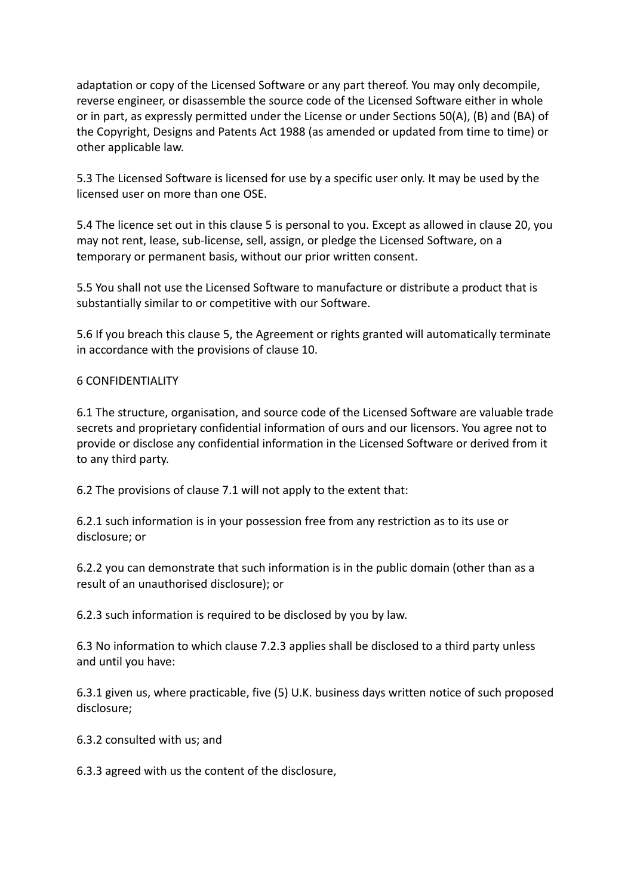adaptation or copy of the Licensed Software or any part thereof. You may only decompile, reverse engineer, or disassemble the source code of the Licensed Software either in whole or in part, as expressly permitted under the License or under Sections 50(A), (B) and (BA) of the Copyright, Designs and Patents Act 1988 (as amended or updated from time to time) or other applicable law.

5.3 The Licensed Software is licensed for use by a specific user only. It may be used by the licensed user on more than one OSE.

5.4 The licence set out in this clause 5 is personal to you. Except as allowed in clause 20, you may not rent, lease, sub-license, sell, assign, or pledge the Licensed Software, on a temporary or permanent basis, without our prior written consent.

5.5 You shall not use the Licensed Software to manufacture or distribute a product that is substantially similar to or competitive with our Software.

5.6 If you breach this clause 5, the Agreement or rights granted will automatically terminate in accordance with the provisions of clause 10.

### 6 CONFIDENTIALITY

6.1 The structure, organisation, and source code of the Licensed Software are valuable trade secrets and proprietary confidential information of ours and our licensors. You agree not to provide or disclose any confidential information in the Licensed Software or derived from it to any third party.

6.2 The provisions of clause 7.1 will not apply to the extent that:

6.2.1 such information is in your possession free from any restriction as to its use or disclosure; or

6.2.2 you can demonstrate that such information is in the public domain (other than as a result of an unauthorised disclosure); or

6.2.3 such information is required to be disclosed by you by law.

6.3 No information to which clause 7.2.3 applies shall be disclosed to a third party unless and until you have:

6.3.1 given us, where practicable, five (5) U.K. business days written notice of such proposed disclosure;

6.3.2 consulted with us; and

6.3.3 agreed with us the content of the disclosure,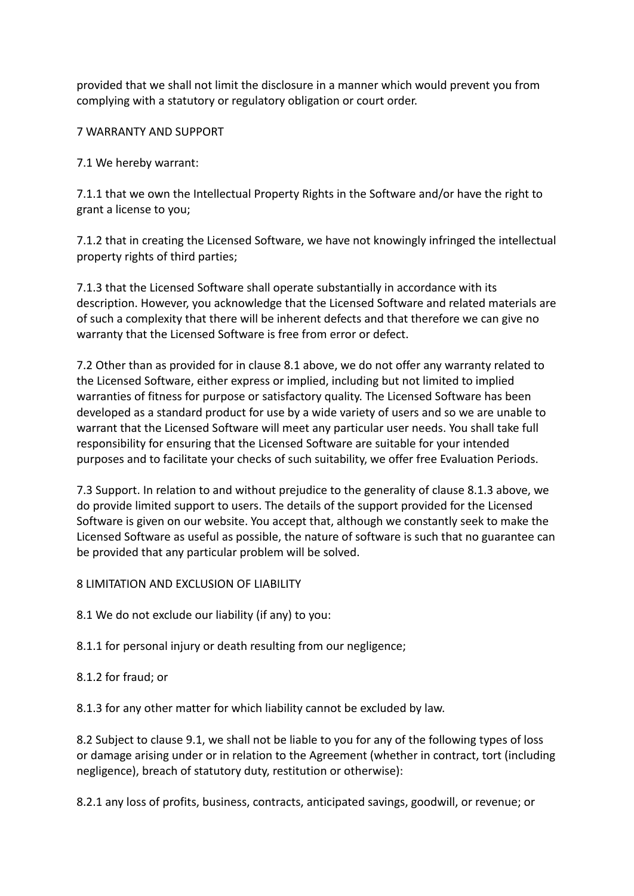provided that we shall not limit the disclosure in a manner which would prevent you from complying with a statutory or regulatory obligation or court order.

7 WARRANTY AND SUPPORT

7.1 We hereby warrant:

7.1.1 that we own the Intellectual Property Rights in the Software and/or have the right to grant a license to you;

7.1.2 that in creating the Licensed Software, we have not knowingly infringed the intellectual property rights of third parties;

7.1.3 that the Licensed Software shall operate substantially in accordance with its description. However, you acknowledge that the Licensed Software and related materials are of such a complexity that there will be inherent defects and that therefore we can give no warranty that the Licensed Software is free from error or defect.

7.2 Other than as provided for in clause 8.1 above, we do not offer any warranty related to the Licensed Software, either express or implied, including but not limited to implied warranties of fitness for purpose or satisfactory quality. The Licensed Software has been developed as a standard product for use by a wide variety of users and so we are unable to warrant that the Licensed Software will meet any particular user needs. You shall take full responsibility for ensuring that the Licensed Software are suitable for your intended purposes and to facilitate your checks of such suitability, we offer free Evaluation Periods.

7.3 Support. In relation to and without prejudice to the generality of clause 8.1.3 above, we do provide limited support to users. The details of the support provided for the Licensed Software is given on our website. You accept that, although we constantly seek to make the Licensed Software as useful as possible, the nature of software is such that no guarantee can be provided that any particular problem will be solved.

8 LIMITATION AND EXCLUSION OF LIABILITY

8.1 We do not exclude our liability (if any) to you:

8.1.1 for personal injury or death resulting from our negligence;

8.1.2 for fraud; or

8.1.3 for any other matter for which liability cannot be excluded by law.

8.2 Subject to clause 9.1, we shall not be liable to you for any of the following types of loss or damage arising under or in relation to the Agreement (whether in contract, tort (including negligence), breach of statutory duty, restitution or otherwise):

8.2.1 any loss of profits, business, contracts, anticipated savings, goodwill, or revenue; or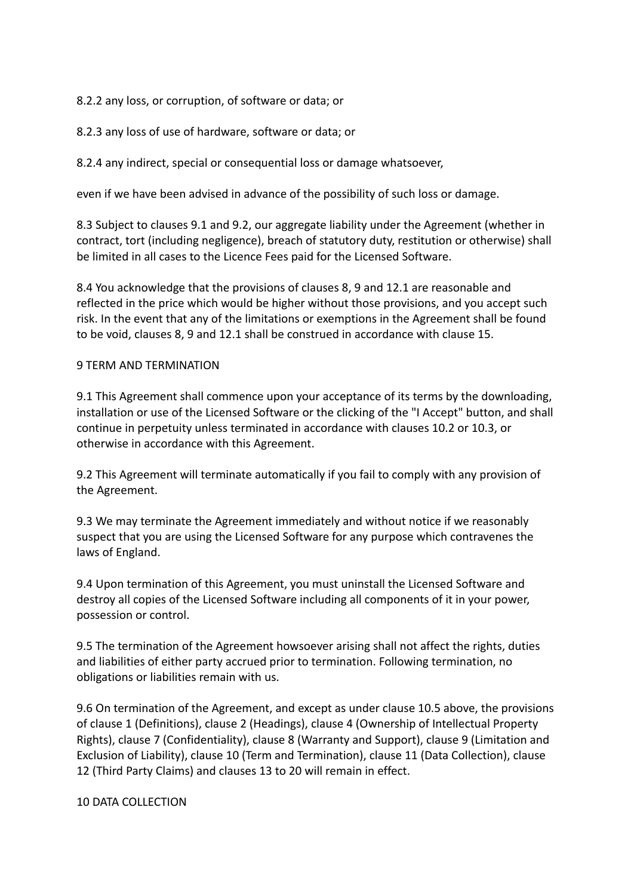8.2.2 any loss, or corruption, of software or data; or

8.2.3 any loss of use of hardware, software or data; or

8.2.4 any indirect, special or consequential loss or damage whatsoever,

even if we have been advised in advance of the possibility of such loss or damage.

8.3 Subject to clauses 9.1 and 9.2, our aggregate liability under the Agreement (whether in contract, tort (including negligence), breach of statutory duty, restitution or otherwise) shall be limited in all cases to the Licence Fees paid for the Licensed Software.

8.4 You acknowledge that the provisions of clauses 8, 9 and 12.1 are reasonable and reflected in the price which would be higher without those provisions, and you accept such risk. In the event that any of the limitations or exemptions in the Agreement shall be found to be void, clauses 8, 9 and 12.1 shall be construed in accordance with clause 15.

### 9 TERM AND TERMINATION

9.1 This Agreement shall commence upon your acceptance of its terms by the downloading, installation or use of the Licensed Software or the clicking of the "I Accept" button, and shall continue in perpetuity unless terminated in accordance with clauses 10.2 or 10.3, or otherwise in accordance with this Agreement.

9.2 This Agreement will terminate automatically if you fail to comply with any provision of the Agreement.

9.3 We may terminate the Agreement immediately and without notice if we reasonably suspect that you are using the Licensed Software for any purpose which contravenes the laws of England.

9.4 Upon termination of this Agreement, you must uninstall the Licensed Software and destroy all copies of the Licensed Software including all components of it in your power, possession or control.

9.5 The termination of the Agreement howsoever arising shall not affect the rights, duties and liabilities of either party accrued prior to termination. Following termination, no obligations or liabilities remain with us.

9.6 On termination of the Agreement, and except as under clause 10.5 above, the provisions of clause 1 (Definitions), clause 2 (Headings), clause 4 (Ownership of Intellectual Property Rights), clause 7 (Confidentiality), clause 8 (Warranty and Support), clause 9 (Limitation and Exclusion of Liability), clause 10 (Term and Termination), clause 11 (Data Collection), clause 12 (Third Party Claims) and clauses 13 to 20 will remain in effect.

10 DATA COLLECTION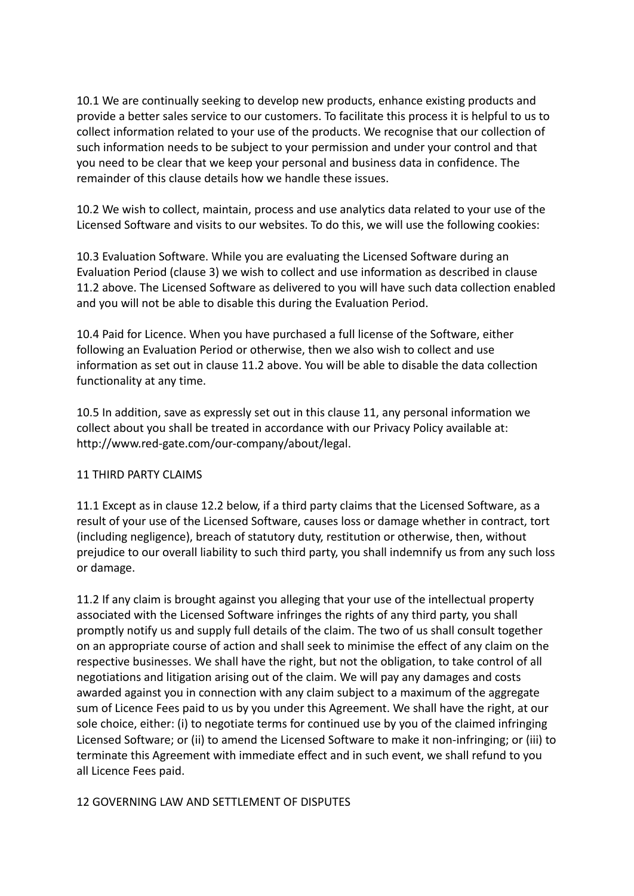10.1 We are continually seeking to develop new products, enhance existing products and provide a better sales service to our customers. To facilitate this process it is helpful to us to collect information related to your use of the products. We recognise that our collection of such information needs to be subject to your permission and under your control and that you need to be clear that we keep your personal and business data in confidence. The remainder of this clause details how we handle these issues.

10.2 We wish to collect, maintain, process and use analytics data related to your use of the Licensed Software and visits to our websites. To do this, we will use the following cookies:

10.3 Evaluation Software. While you are evaluating the Licensed Software during an Evaluation Period (clause 3) we wish to collect and use information as described in clause 11.2 above. The Licensed Software as delivered to you will have such data collection enabled and you will not be able to disable this during the Evaluation Period.

10.4 Paid for Licence. When you have purchased a full license of the Software, either following an Evaluation Period or otherwise, then we also wish to collect and use information as set out in clause 11.2 above. You will be able to disable the data collection functionality at any time.

10.5 In addition, save as expressly set out in this clause 11, any personal information we collect about you shall be treated in accordance with our Privacy Policy available at: http://www.red-gate.com/our-company/about/legal.

### 11 THIRD PARTY CLAIMS

11.1 Except as in clause 12.2 below, if a third party claims that the Licensed Software, as a result of your use of the Licensed Software, causes loss or damage whether in contract, tort (including negligence), breach of statutory duty, restitution or otherwise, then, without prejudice to our overall liability to such third party, you shall indemnify us from any such loss or damage.

11.2 If any claim is brought against you alleging that your use of the intellectual property associated with the Licensed Software infringes the rights of any third party, you shall promptly notify us and supply full details of the claim. The two of us shall consult together on an appropriate course of action and shall seek to minimise the effect of any claim on the respective businesses. We shall have the right, but not the obligation, to take control of all negotiations and litigation arising out of the claim. We will pay any damages and costs awarded against you in connection with any claim subject to a maximum of the aggregate sum of Licence Fees paid to us by you under this Agreement. We shall have the right, at our sole choice, either: (i) to negotiate terms for continued use by you of the claimed infringing Licensed Software; or (ii) to amend the Licensed Software to make it non-infringing; or (iii) to terminate this Agreement with immediate effect and in such event, we shall refund to you all Licence Fees paid.

### 12 GOVERNING LAW AND SETTLEMENT OF DISPUTES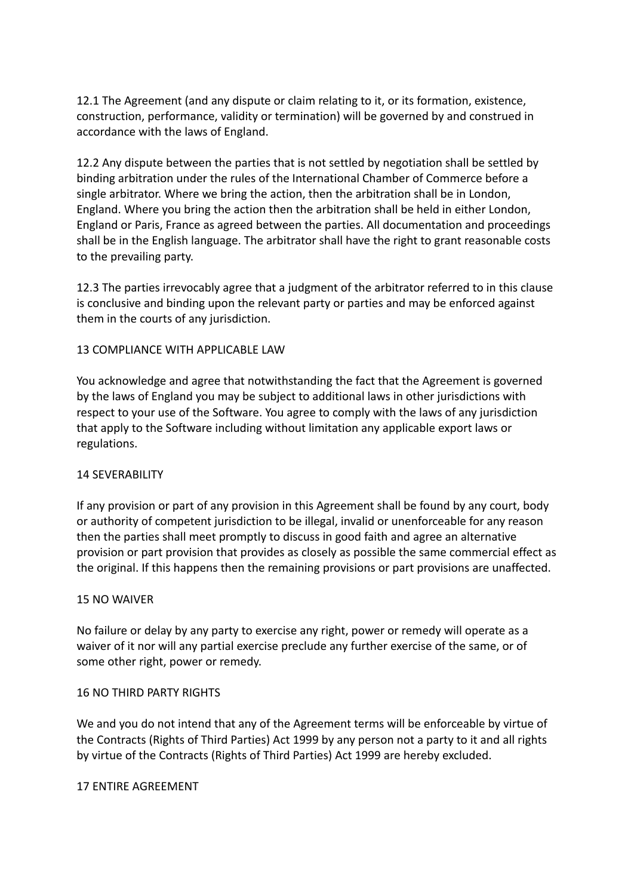12.1 The Agreement (and any dispute or claim relating to it, or its formation, existence, construction, performance, validity or termination) will be governed by and construed in accordance with the laws of England.

12.2 Any dispute between the parties that is not settled by negotiation shall be settled by binding arbitration under the rules of the International Chamber of Commerce before a single arbitrator. Where we bring the action, then the arbitration shall be in London, England. Where you bring the action then the arbitration shall be held in either London, England or Paris, France as agreed between the parties. All documentation and proceedings shall be in the English language. The arbitrator shall have the right to grant reasonable costs to the prevailing party.

12.3 The parties irrevocably agree that a judgment of the arbitrator referred to in this clause is conclusive and binding upon the relevant party or parties and may be enforced against them in the courts of any jurisdiction.

## 13 COMPLIANCE WITH APPLICABLE LAW

You acknowledge and agree that notwithstanding the fact that the Agreement is governed by the laws of England you may be subject to additional laws in other jurisdictions with respect to your use of the Software. You agree to comply with the laws of any jurisdiction that apply to the Software including without limitation any applicable export laws or regulations.

### 14 SEVERABILITY

If any provision or part of any provision in this Agreement shall be found by any court, body or authority of competent jurisdiction to be illegal, invalid or unenforceable for any reason then the parties shall meet promptly to discuss in good faith and agree an alternative provision or part provision that provides as closely as possible the same commercial effect as the original. If this happens then the remaining provisions or part provisions are unaffected.

### 15 NO WAIVER

No failure or delay by any party to exercise any right, power or remedy will operate as a waiver of it nor will any partial exercise preclude any further exercise of the same, or of some other right, power or remedy.

### 16 NO THIRD PARTY RIGHTS

We and you do not intend that any of the Agreement terms will be enforceable by virtue of the Contracts (Rights of Third Parties) Act 1999 by any person not a party to it and all rights by virtue of the Contracts (Rights of Third Parties) Act 1999 are hereby excluded.

#### 17 ENTIRE AGREEMENT